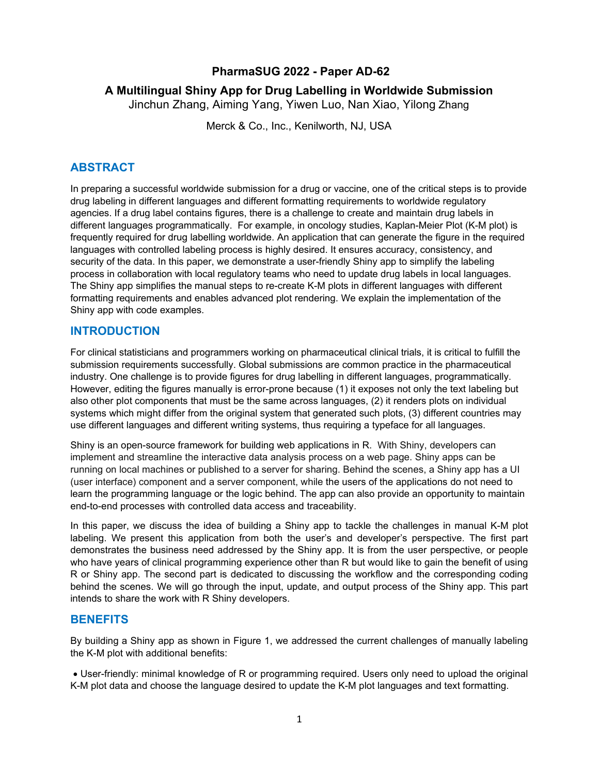# **PharmaSUG 2022 - Paper AD-62**

# **A Multilingual Shiny App for Drug Labelling in Worldwide Submission**

Jinchun Zhang, Aiming Yang, Yiwen Luo, Nan Xiao, Yilong Zhang

Merck & Co., Inc., Kenilworth, NJ, USA

# **ABSTRACT**

In preparing a successful worldwide submission for a drug or vaccine, one of the critical steps is to provide drug labeling in different languages and different formatting requirements to worldwide regulatory agencies. If a drug label contains figures, there is a challenge to create and maintain drug labels in different languages programmatically. For example, in oncology studies, Kaplan-Meier Plot (K-M plot) is frequently required for drug labelling worldwide. An application that can generate the figure in the required languages with controlled labeling process is highly desired. It ensures accuracy, consistency, and security of the data. In this paper, we demonstrate a user-friendly Shiny app to simplify the labeling process in collaboration with local regulatory teams who need to update drug labels in local languages. The Shiny app simplifies the manual steps to re-create K-M plots in different languages with different formatting requirements and enables advanced plot rendering. We explain the implementation of the Shiny app with code examples.

# **INTRODUCTION**

For clinical statisticians and programmers working on pharmaceutical clinical trials, it is critical to fulfill the submission requirements successfully. Global submissions are common practice in the pharmaceutical industry. One challenge is to provide figures for drug labelling in different languages, programmatically. However, editing the figures manually is error-prone because (1) it exposes not only the text labeling but also other plot components that must be the same across languages, (2) it renders plots on individual systems which might differ from the original system that generated such plots, (3) different countries may use different languages and different writing systems, thus requiring a typeface for all languages.

Shiny is an open-source framework for building web applications in R. With Shiny, developers can implement and streamline the interactive data analysis process on a web page. Shiny apps can be running on local machines or published to a server for sharing. Behind the scenes, a Shiny app has a UI (user interface) component and a server component, while the users of the applications do not need to learn the programming language or the logic behind. The app can also provide an opportunity to maintain end-to-end processes with controlled data access and traceability.

In this paper, we discuss the idea of building a Shiny app to tackle the challenges in manual K-M plot labeling. We present this application from both the user's and developer's perspective. The first part demonstrates the business need addressed by the Shiny app. It is from the user perspective, or people who have years of clinical programming experience other than R but would like to gain the benefit of using R or Shiny app. The second part is dedicated to discussing the workflow and the corresponding coding behind the scenes. We will go through the input, update, and output process of the Shiny app. This part intends to share the work with R Shiny developers.

# **BENEFITS**

By building a Shiny app as shown in Figure 1, we addressed the current challenges of manually labeling the K-M plot with additional benefits:

• User-friendly: minimal knowledge of R or programming required. Users only need to upload the original K-M plot data and choose the language desired to update the K-M plot languages and text formatting.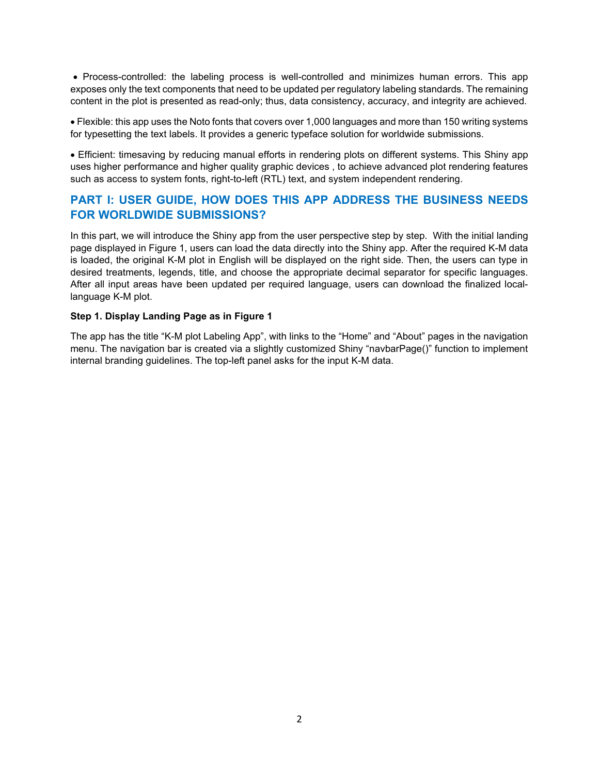• Process-controlled: the labeling process is well-controlled and minimizes human errors. This app exposes only the text components that need to be updated per regulatory labeling standards. The remaining content in the plot is presented as read-only; thus, data consistency, accuracy, and integrity are achieved.

• Flexible: this app uses the Noto fonts that covers over 1,000 languages and more than 150 writing systems for typesetting the text labels. It provides a generic typeface solution for worldwide submissions.

• Efficient: timesaving by reducing manual efforts in rendering plots on different systems. This Shiny app uses higher performance and higher quality graphic devices , to achieve advanced plot rendering features such as access to system fonts, right-to-left (RTL) text, and system independent rendering.

# **PART I: USER GUIDE, HOW DOES THIS APP ADDRESS THE BUSINESS NEEDS FOR WORLDWIDE SUBMISSIONS?**

In this part, we will introduce the Shiny app from the user perspective step by step. With the initial landing page displayed in Figure 1, users can load the data directly into the Shiny app. After the required K-M data is loaded, the original K-M plot in English will be displayed on the right side. Then, the users can type in desired treatments, legends, title, and choose the appropriate decimal separator for specific languages. After all input areas have been updated per required language, users can download the finalized locallanguage K-M plot.

### **Step 1. Display Landing Page as in Figure 1**

The app has the title "K-M plot Labeling App", with links to the "Home" and "About" pages in the navigation menu. The navigation bar is created via a slightly customized Shiny "navbarPage()" function to implement internal branding guidelines. The top-left panel asks for the input K-M data.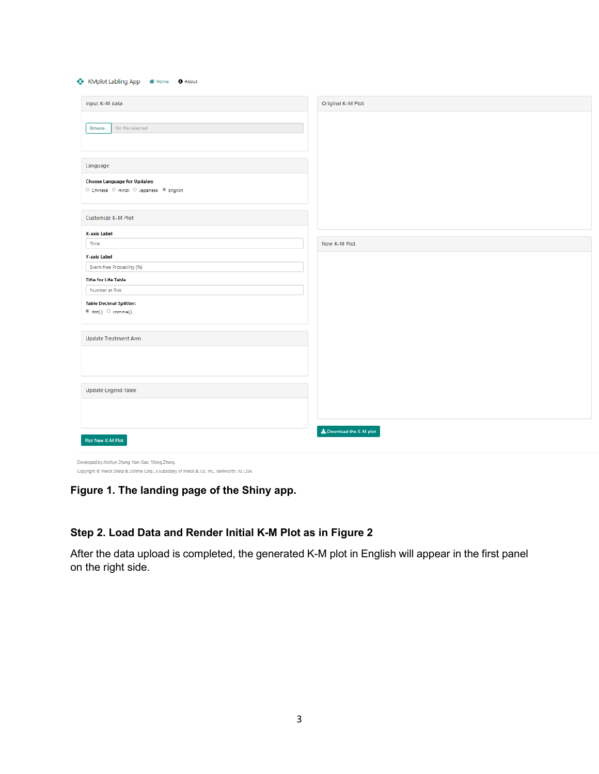| Input K-M data                                                                                                                                        | Original K-M Plot       |
|-------------------------------------------------------------------------------------------------------------------------------------------------------|-------------------------|
| Browse<br>No file selected                                                                                                                            |                         |
| Language                                                                                                                                              |                         |
| <b>Choose Language for Updates:</b><br>$\circlearrowright$ Chinese $\circlearrowright$ Hindi $\circlearrowright$ Japanese $\circledast$ English       |                         |
| <b>Customize K-M Plot</b>                                                                                                                             |                         |
| X-axis Label                                                                                                                                          |                         |
| Time                                                                                                                                                  | New K-M Plot            |
| <b>Y-axis Label</b>                                                                                                                                   |                         |
| Event-free Probability (%)                                                                                                                            |                         |
| <b>Title for Life Table</b>                                                                                                                           |                         |
| Number at Risk                                                                                                                                        |                         |
| <b>Table Decimal Splitter:</b><br>@ dot(.) O comma(.)                                                                                                 |                         |
| <b>Update Treatment Arm</b>                                                                                                                           |                         |
| <b>Update Legend Table</b>                                                                                                                            |                         |
| Plot New K-M Plot                                                                                                                                     | L Download the K-M plot |
| Developed by Jinchun Zhang, Nan Xiao, Yilong Zhang.<br>Copyright @ Merck Sharp & Dohme Corp., a subsidiary of Merck & Co., Inc., Kenilworth, NJ, USA. |                         |

# **Figure 1. The landing page of the Shiny app.**

# **Step 2. Load Data and Render Initial K-M Plot as in Figure 2**

After the data upload is completed, the generated K-M plot in English will appear in the first panel on the right side.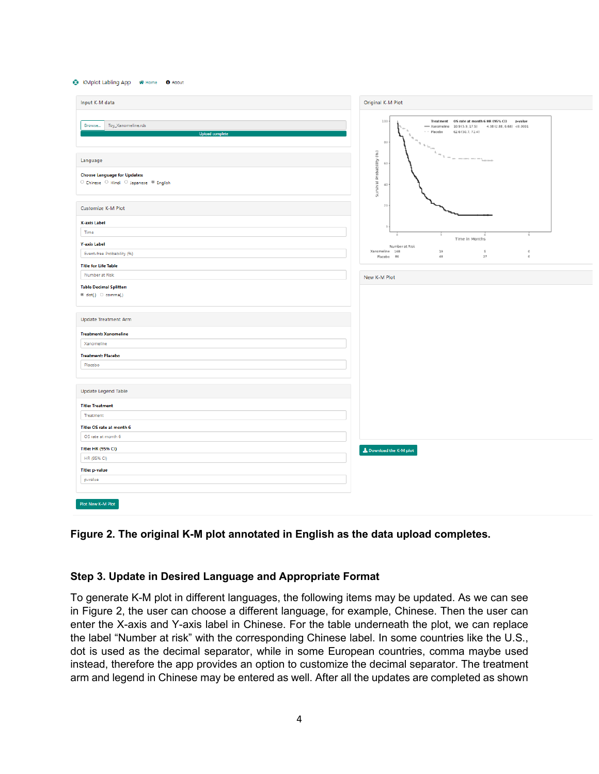#### C KMplot Labling App & Home O About

| Input K-M data                                                                 | Original K-M Plot                                                                                                                               |
|--------------------------------------------------------------------------------|-------------------------------------------------------------------------------------------------------------------------------------------------|
| Toy_Xanomeline.rds<br>Browse<br><b>Upload complete</b>                         | 100<br>p-value<br>-Xanomeline 10.9 (5.9, 17.5) 4.38 (2.88, 6.68) <0.0001<br>62.6 (50.7, 72.4)<br>$ -$ Placebo<br>80<br>$\ ^{n}$ s $_{\rm 50cm}$ |
| Language                                                                       | $r = \frac{1}{r} \left( 1 - \frac{1}{r} \right)$<br>60                                                                                          |
| <b>Choose Language for Updates:</b><br>O Chinese O Hindi O Japanese ® English  | Survival Probability (%)<br>40                                                                                                                  |
| <b>Customize K-M Plot</b>                                                      | 20                                                                                                                                              |
| X-axis Label                                                                   |                                                                                                                                                 |
| Time<br><b>Y-axis Label</b>                                                    | š<br>Time in Months                                                                                                                             |
| Event-free Probability (%)                                                     | Number at Risk<br>Xanomeline 168<br>19<br>$\overline{5}$<br>$\bf 0$<br>$\mathfrak o$<br>48<br>27<br>Placebo B6                                  |
| <b>Title for Life Table</b>                                                    |                                                                                                                                                 |
| Number at Risk                                                                 | New K-M Plot                                                                                                                                    |
| <b>Table Decimal Splitter:</b><br>$\circledast$ dot(.) $\circledcirc$ comma(.) |                                                                                                                                                 |
| <b>Update Treatment Arm</b>                                                    |                                                                                                                                                 |
| <b>Treatment: Xanomeline</b>                                                   |                                                                                                                                                 |
| Xanomeline                                                                     |                                                                                                                                                 |
| <b>Treatment: Placebo</b>                                                      |                                                                                                                                                 |
| Placebo                                                                        |                                                                                                                                                 |
| <b>Update Legend Table</b>                                                     |                                                                                                                                                 |
| <b>Title: Treatment</b>                                                        |                                                                                                                                                 |
| Treatment                                                                      |                                                                                                                                                 |
| Title: OS rate at month 6                                                      |                                                                                                                                                 |
| OS rate at month 6                                                             |                                                                                                                                                 |
| Title: HR (95% CI)<br>HR (95% CI)                                              | Download the K-M plot                                                                                                                           |
| <b>Title: p-value</b>                                                          |                                                                                                                                                 |
| p-value                                                                        |                                                                                                                                                 |
|                                                                                |                                                                                                                                                 |
| Plot New K-M Plot                                                              |                                                                                                                                                 |

### **Figure 2. The original K-M plot annotated in English as the data upload completes.**

### **Step 3. Update in Desired Language and Appropriate Format**

To generate K-M plot in different languages, the following items may be updated. As we can see in Figure 2, the user can choose a different language, for example, Chinese. Then the user can enter the X-axis and Y-axis label in Chinese. For the table underneath the plot, we can replace the label "Number at risk" with the corresponding Chinese label. In some countries like the U.S., dot is used as the decimal separator, while in some European countries, comma maybe used instead, therefore the app provides an option to customize the decimal separator. The treatment arm and legend in Chinese may be entered as well. After all the updates are completed as shown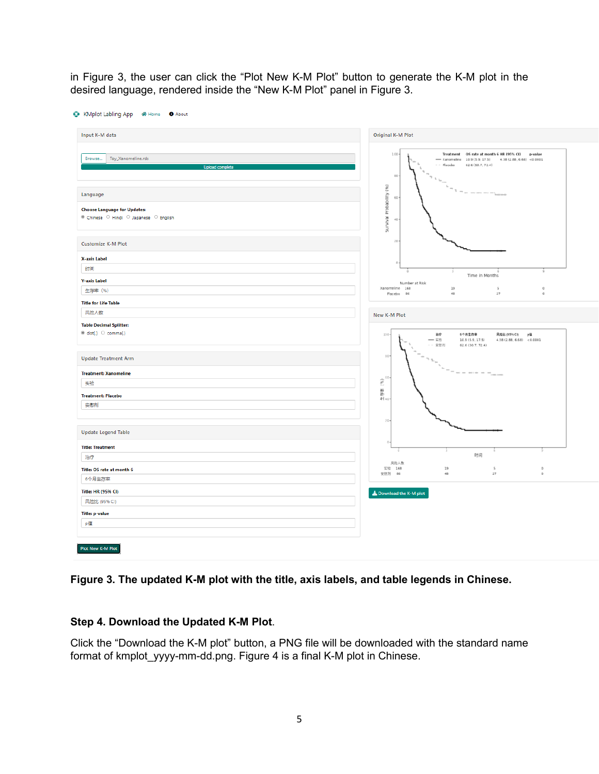in Figure 3, the user can click the "Plot New K-M Plot" button to generate the K-M plot in the desired language, rendered inside the "New K-M Plot" panel in Figure 3.

| Input K-M data                                                                            | Original K-M Plot                                                                                                                                       |
|-------------------------------------------------------------------------------------------|---------------------------------------------------------------------------------------------------------------------------------------------------------|
| Browse<br>Toy_Xanomeline.rds<br><b>Upload complete</b>                                    | 100<br>-Xanomeline 10.9 (5.9, 17.5) 4.38 (2.88, 6.68) <0.0001<br>$  Placebo$<br>62.6 (50.7, 72.4)<br>80<br>$\mathbf{h}_{\mathrm{th}}$                   |
| Language<br><b>Choose Language for Updates:</b><br>● Chinese ○ Hindi ○ Japanese ○ English | Survival Probability (%)<br>$\label{eq:1.1} r = \frac{1}{\sqrt{2\pi}}\exp\left(-\frac{r}{\sqrt{2\pi}}\right)$<br>60<br>40                               |
| <b>Customize K-M Plot</b>                                                                 | 20                                                                                                                                                      |
| X-axis Label<br>时间                                                                        |                                                                                                                                                         |
| <b>Y-axis Label</b>                                                                       | 3<br>Time in Months<br>Number at Risk                                                                                                                   |
| 生存率 (%)                                                                                   | Xanomeline 168<br>19<br>$\overline{5}$<br>$\bf 0$<br>Placebo 86<br>$48$<br>27<br>$\circ$                                                                |
| <b>Title for Life Table</b>                                                               |                                                                                                                                                         |
| 风险人数                                                                                      | New K-M Plot                                                                                                                                            |
| <b>Table Decimal Splitter:</b><br>$\circledast$ dot(.) $\circledcirc$ comma(.)            | 100<br>治疗<br>6个月生存率<br>风险比 (95% CI)<br>p值<br>$-76$<br>10.9 (5.9, 17.5)<br>4.38(2.88, 6.68) < 0.0001<br>-- 安慰剂<br>62.6 (50.7, 72.4)                      |
| <b>Update Treatment Arm</b>                                                               | 80                                                                                                                                                      |
| <b>Treatment: Xanomeline</b>                                                              | $\label{eq:1} \begin{split} \mathcal{N}_{\rm{beam}} = \mathcal{N}_{\rm{eff}} \times \mathcal{N}_{\rm{beam}} = \mathcal{N}_{\rm{eff}} \end{split}$<br>60 |
| 实验                                                                                        | £                                                                                                                                                       |
| <b>Treatment: Placebo</b>                                                                 | 停井<br>#140                                                                                                                                              |
| 安慰剂                                                                                       |                                                                                                                                                         |
| <b>Update Legend Table</b>                                                                | 20                                                                                                                                                      |
| <b>Title: Treatment</b>                                                                   |                                                                                                                                                         |
| 治疗                                                                                        | 时间                                                                                                                                                      |
| Title: OS rate at month 6                                                                 | 风险人数<br>19<br>实验 168<br>5<br>$\sigma$<br>安慰剂 86<br>$4B$<br>27<br>$\circ$                                                                                |
| 6个月生存率                                                                                    |                                                                                                                                                         |
| Title: HR (95% CI)                                                                        | Download the K-M plot                                                                                                                                   |
| 风险比 (95% CI)                                                                              |                                                                                                                                                         |
| <b>Title: p-value</b>                                                                     |                                                                                                                                                         |
| p值                                                                                        |                                                                                                                                                         |

# **Figure 3. The updated K-M plot with the title, axis labels, and table legends in Chinese.**

# **Step 4. Download the Updated K-M Plot**.

Click the "Download the K-M plot" button, a PNG file will be downloaded with the standard name format of kmplot\_yyyy-mm-dd.png. Figure 4 is a final K-M plot in Chinese.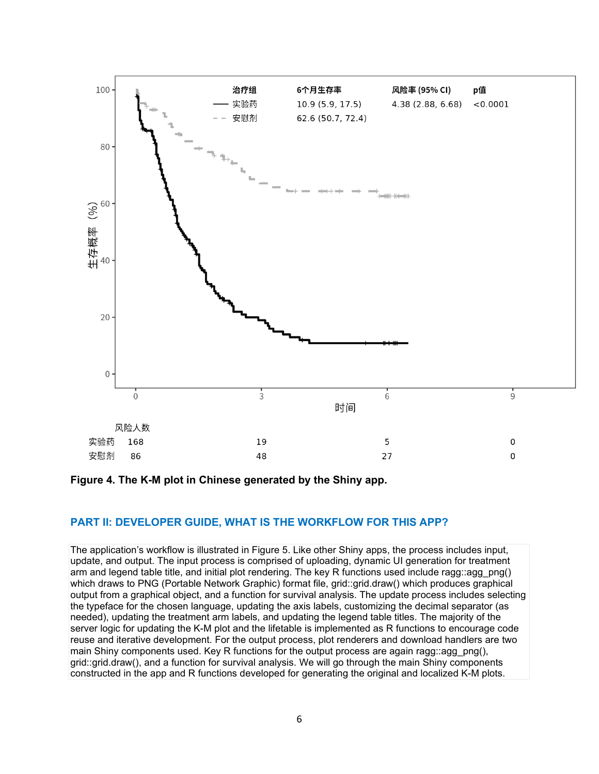

### **Figure 4. The K-M plot in Chinese generated by the Shiny app.**

## **PART II: DEVELOPER GUIDE, WHAT IS THE WORKFLOW FOR THIS APP?**

The application's workflow is illustrated in Figure 5. Like other Shiny apps, the process includes input, update, and output. The input process is comprised of uploading, dynamic UI generation for treatment arm and legend table title, and initial plot rendering. The key R functions used include ragg::agg\_png() which draws to PNG (Portable Network Graphic) format file, grid::grid.draw() which produces graphical output from a graphical object, and a function for survival analysis. The update process includes selecting the typeface for the chosen language, updating the axis labels, customizing the decimal separator (as needed), updating the treatment arm labels, and updating the legend table titles. The majority of the server logic for updating the K-M plot and the lifetable is implemented as R functions to encourage code reuse and iterative development. For the output process, plot renderers and download handlers are two main Shiny components used. Key R functions for the output process are again ragg: agg  $png()$ , grid::grid.draw(), and a function for survival analysis. We will go through the main Shiny components constructed in the app and R functions developed for generating the original and localized K-M plots.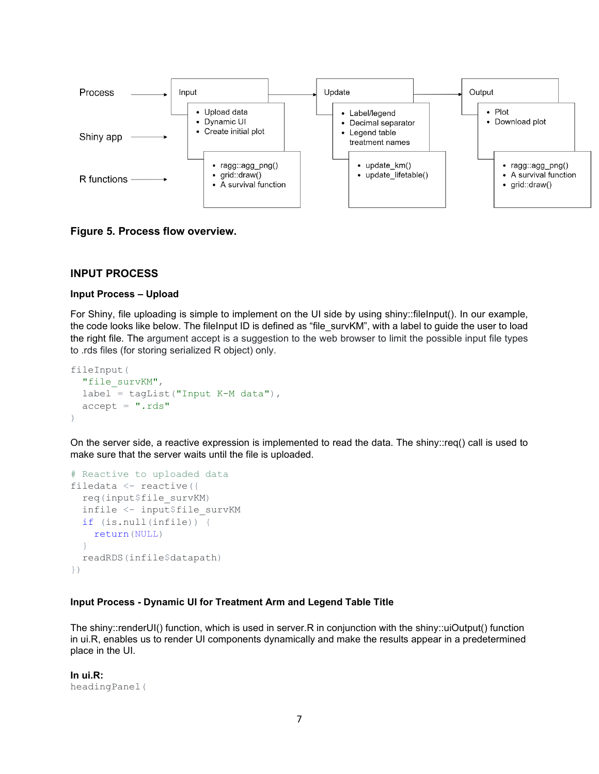

**Figure 5. Process flow overview.**

### **INPUT PROCESS**

#### **Input Process – Upload**

For Shiny, file uploading is simple to implement on the UI side by using shiny::fileInput(). In our example, the code looks like below. The fileInput ID is defined as "file\_survKM", with a label to guide the user to load the right file. The argument accept is a suggestion to the web browser to limit the possible input file types to .rds files (for storing serialized R object) only.

```
fileInput(
  "file_survKM",
 label = tagList('Input K-M data"),
 accept = "rds")
```
On the server side, a reactive expression is implemented to read the data. The shiny::req() call is used to make sure that the server waits until the file is uploaded.

```
# Reactive to uploaded data
filedata <- reactive({
   req(input$file_survKM)
   infile <- input$file_survKM
   if (is.null(infile)) {
     return(NULL)
   }
   readRDS(infile$datapath)
})
```
### **Input Process - Dynamic UI for Treatment Arm and Legend Table Title**

The shiny::renderUI() function, which is used in server.R in conjunction with the shiny::uiOutput() function in ui.R, enables us to render UI components dynamically and make the results appear in a predetermined place in the UI.

**In ui.R:**  headingPanel(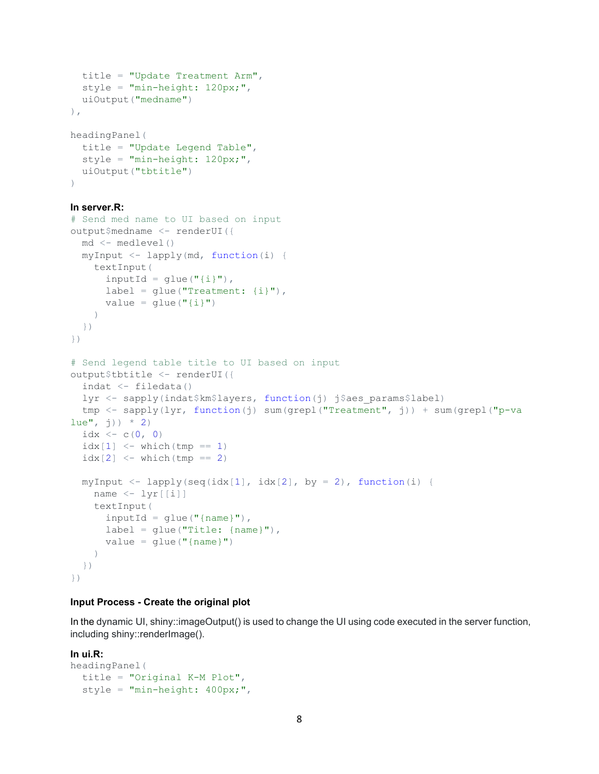```
 title = "Update Treatment Arm",
   style = "min-height: 120px;",
  uiOutput("medname")
),
headingPanel(
  title = "Update Legend Table",
  style = "min-height: 120px;",
  uiOutput("tbtitle")
```
#### **In server.R:**

 $\lambda$ 

```
# Send med name to UI based on input
output$medname <- renderUI({
   md <- medlevel()
   myInput <- lapply(md, function(i) {
     textInput(
      inputId = qlue("{i}"),
      label = glue("Treatment: {i} "),
      value = glue("{i}")\qquad \qquad })
})
# Send legend table title to UI based on input
output$tbtitle <- renderUI({
   indat <- filedata()
  lyr <- sapply(indat$km$layers, function(j) j$aes_params$label)
   tmp <- sapply(lyr, function(j) sum(grepl("Treatment", j)) + sum(grepl("p-va
lue'', j)) * 2)
  idx \leftarrow c(0, 0)
  idx[1] < - which(tmp == 1)
  idx[2] \leq - which (tmp == 2)
  myInput \langle -\text{lapply}(\text{seq}(\text{idx}[1], \text{idx}[2], \text{by} = 2), \text{function}(i)) \ranglename \langle -1 \rangle \text{tr}[[1]] textInput(
       inputId = qlue("{name}''),label = glue("Title: {name}"),
       value = glue("{name})"\qquad \qquad })
})
```
#### **Input Process - Create the original plot**

In the dynamic UI, shiny::imageOutput() is used to change the UI using code executed in the server function, including shiny::renderImage().

#### **In ui.R:**

```
headingPanel(
  title = "Original K-M Plot",
   style = "min-height: 400px;",
```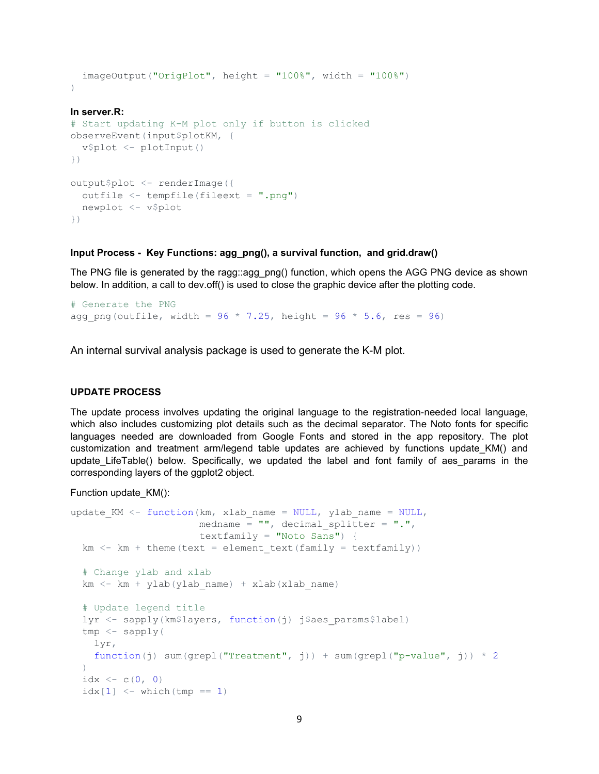```
imageOutput("OrigPlot", height = "100%;", width = "100%;"))
```
### **In server.R:**

```
# Start updating K-M plot only if button is clicked
observeEvent(input$plotKM, {
  v$plot <- plotInput()
})
output$plot <- renderImage({
 outfile \leq tempfile(fileext = ".pnq")
  newplot <- v$plot
})
```
### **Input Process - Key Functions: agg\_png(), a survival function, and grid.draw()**

The PNG file is generated by the ragg::agg\_png() function, which opens the AGG PNG device as shown below. In addition, a call to dev.off() is used to close the graphic device after the plotting code.

```
# Generate the PNG
agg png(outfile, width = 96 * 7.25, height = 96 * 5.6, res = 96)
```
An internal survival analysis package is used to generate the K-M plot.

#### **UPDATE PROCESS**

The update process involves updating the original language to the registration-needed local language, which also includes customizing plot details such as the decimal separator. The Noto fonts for specific languages needed are downloaded from Google Fonts and stored in the app repository. The plot customization and treatment arm/legend table updates are achieved by functions update KM() and update LifeTable() below. Specifically, we updated the label and font family of aes params in the corresponding layers of the ggplot2 object.

Function update\_KM():

```
update KM <- function(km, xlab name = NULL, ylab name = NULL,
                        medname = '''', decimal splitter = '''.'',
                         textfamily = "Noto Sans") {
  km <- km + theme(text = element text(family = textfamily))
   # Change ylab and xlab
  km < - km + ylab(ylab name) + xlab(xlab name)
   # Update legend title
  lyr <- sapply(km$layers, function(j) j$aes params$label)
  tmp < - sapply(
     lyr,
    function(j) sum(grepl("Treatment", j)) + sum(grepl("p-value", j)) * 2
\left( \begin{array}{c} \end{array} \right)idx \le -c(0, 0)idx[1] \leq - which (tmp == 1)
```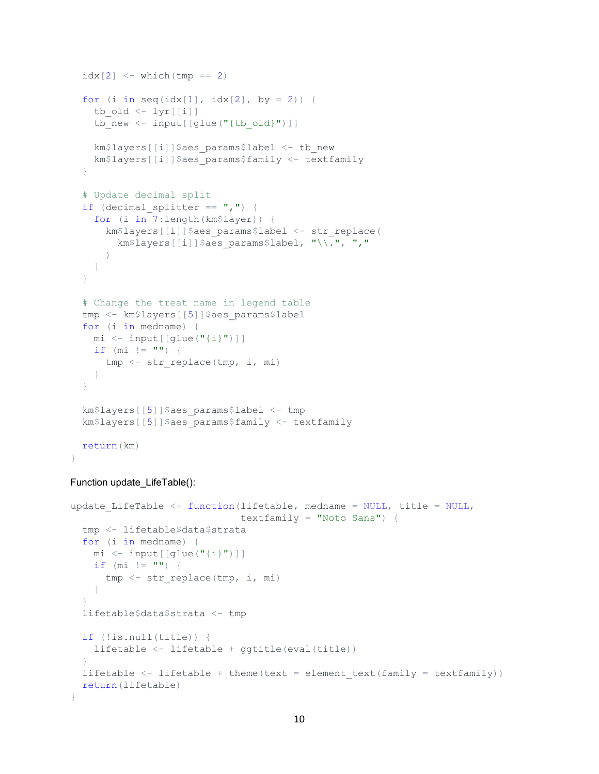```
idx[2] \leq -which(tmp == 2)for (i in seq(idx[1], idx[2], by = 2)) {
  tb old \langle -1 \rangletb new \leq input [[glue("{tb old}")]]
  km$layers[[i]]$aes_params$label <- tb_new
  km$layers[[i]]$aes_params$family <- textfamily
 }
 # Update decimal split
if (decimal splitter == ","") {
   for (i in 7:length(km$layer)) {
    km$layers[[i]]$aes_params$label <- str_replace(
      km$layers[[i]]$aes_params$label, "\\.", ","
     )
   }
 }
 # Change the treat name in legend table
tmp <- km$layers[[5]]$aes_params$label
 for (i in medname) {
  mi <- input[[glue("{i}")]]
 if (mi := "") {
   tmp \leftarrow str replace(tmp, i, mi)
   }
 }
 km$layers[[5]]$aes_params$label <- tmp
 km$layers[[5]]$aes_params$family <- textfamily
 return(km)
```

```
Function update_LifeTable():
```
}

```
update LifeTable \leq- function(lifetable, medname = NULL, title = NULL,
                               textfamily = "Noto Sans") {
  tmp <- lifetable$data$strata
  for (i in medname) {
    mi <- input[[glue("{i}")]]
   if (mi := "") {
      tmp < - str replace(tmp, i, mi)
     }
   }
   lifetable$data$strata <- tmp
  if (!is.null(title)) {
    lifetable <- lifetable + ggtitle(eval(title))
   }
 lifetable \leq lifetable + theme(text = element text(family = textfamily))
  return(lifetable)
}
```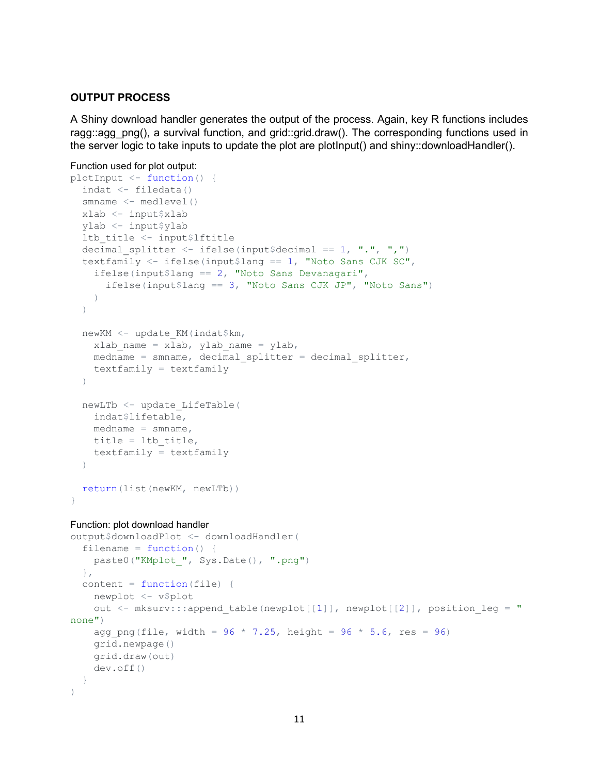# **OUTPUT PROCESS**

A Shiny download handler generates the output of the process. Again, key R functions includes ragg::agg\_png(), a survival function, and grid::grid.draw(). The corresponding functions used in the server logic to take inputs to update the plot are plotInput() and shiny::downloadHandler().

```
Function used for plot output:
```

```
plotInput <- function() {
  indat \leq - filedata()
  smname <- medlevel()
  xlab <- input$xlab
   ylab <- input$ylab
   ltb_title <- input$lftitle
  decimal splitter \leq ifelse(input$decimal == 1, ".", ",")
   textfamily <- ifelse(input$lang == 1, "Noto Sans CJK SC",
     ifelse(input$lang == 2, "Noto Sans Devanagari",
       ifelse(input$lang == 3, "Noto Sans CJK JP", "Noto Sans")
    \lambda )
   newKM <- update_KM(indat$km,
    xlab name = xlab, ylab name = ylab,
    median = smname, decimal splitter = decimalsplit textfamily = textfamily
  \lambdanewLTb <- update LifeTable(
     indat$lifetable,
   median = smname,title = ltb title,
     textfamily = textfamily
   )
   return(list(newKM, newLTb))
}
Function: plot download handler
output$downloadPlot <- downloadHandler(
```

```
filename = function() { }paste0("KMplot ", Sys.Date(), ".png")
  },
 content = function(file) newplot <- v$plot
    out \leq mksurv:::append table(newplot[[1]], newplot[[2]], position leg = "
none")
    agg png(file, width = 96 * 7.25, height = 96 * 5.6, res = 96)
     grid.newpage()
    grid.draw(out)
     dev.off()
   }
)
```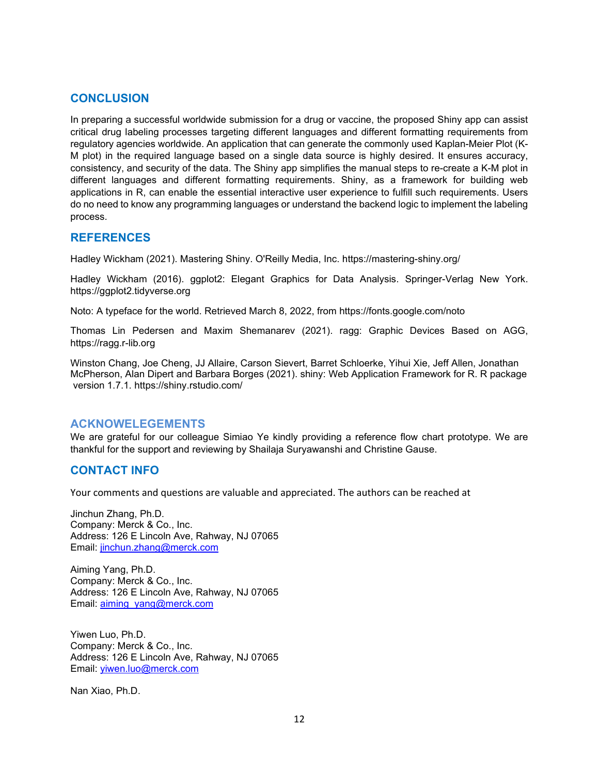# **CONCLUSION**

In preparing a successful worldwide submission for a drug or vaccine, the proposed Shiny app can assist critical drug labeling processes targeting different languages and different formatting requirements from regulatory agencies worldwide. An application that can generate the commonly used Kaplan-Meier Plot (K-M plot) in the required language based on a single data source is highly desired. It ensures accuracy, consistency, and security of the data. The Shiny app simplifies the manual steps to re-create a K-M plot in different languages and different formatting requirements. Shiny, as a framework for building web applications in R, can enable the essential interactive user experience to fulfill such requirements. Users do no need to know any programming languages or understand the backend logic to implement the labeling process.

# **REFERENCES**

Hadley Wickham (2021). Mastering Shiny. O'Reilly Media, Inc. https://mastering-shiny.org/

Hadley Wickham (2016). ggplot2: Elegant Graphics for Data Analysis. Springer-Verlag New York. https://ggplot2.tidyverse.org

Noto: A typeface for the world. Retrieved March 8, 2022, from<https://fonts.google.com/noto>

Thomas Lin Pedersen and Maxim Shemanarev (2021). ragg: Graphic Devices Based on AGG, [https://ragg.r-lib.org](https://ragg.r-lib.org/)

Winston Chang, Joe Cheng, JJ Allaire, Carson Sievert, Barret Schloerke, Yihui Xie, Jeff Allen, Jonathan McPherson, Alan Dipert and Barbara Borges (2021). shiny: Web Application Framework for R. R package version 1.7.1.<https://shiny.rstudio.com/>

# **ACKNOWELEGEMENTS**

We are grateful for our colleague Simiao Ye kindly providing a reference flow chart prototype. We are thankful for the support and reviewing by Shailaja Suryawanshi and Christine Gause.

# **CONTACT INFO**

Your comments and questions are valuable and appreciated. The authors can be reached at

Jinchun Zhang, Ph.D. Company: Merck & Co., Inc. Address: 126 E Lincoln Ave, Rahway, NJ 07065 Email: [jinchun.zhang@merck.com](mailto:jinchun.zhang@merck.com)

Aiming Yang, Ph.D. Company: Merck & Co., Inc. Address: 126 E Lincoln Ave, Rahway, NJ 07065 Email: [aiming\\_yang@merck.com](mailto:aiming_yang@merck.com)

Yiwen Luo, Ph.D. Company: Merck & Co., Inc. Address: 126 E Lincoln Ave, Rahway, NJ 07065 Email: [yiwen.luo@merck.com](mailto:yiwen.luo@merck.com)

Nan Xiao, Ph.D.